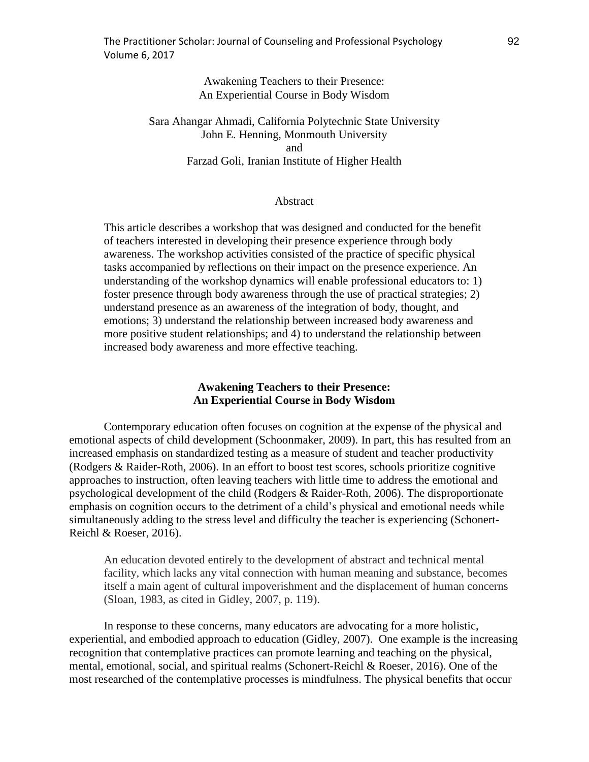# Awakening Teachers to their Presence: An Experiential Course in Body Wisdom

Sara Ahangar Ahmadi, California Polytechnic State University John E. Henning, Monmouth University and Farzad Goli, Iranian Institute of Higher Health

### Abstract

This article describes a workshop that was designed and conducted for the benefit of teachers interested in developing their presence experience through body awareness. The workshop activities consisted of the practice of specific physical tasks accompanied by reflections on their impact on the presence experience. An understanding of the workshop dynamics will enable professional educators to: 1) foster presence through body awareness through the use of practical strategies; 2) understand presence as an awareness of the integration of body, thought, and emotions; 3) understand the relationship between increased body awareness and more positive student relationships; and 4) to understand the relationship between increased body awareness and more effective teaching.

# **Awakening Teachers to their Presence: An Experiential Course in Body Wisdom**

Contemporary education often focuses on cognition at the expense of the physical and emotional aspects of child development (Schoonmaker, 2009). In part, this has resulted from an increased emphasis on standardized testing as a measure of student and teacher productivity (Rodgers & Raider-Roth, 2006). In an effort to boost test scores, schools prioritize cognitive approaches to instruction, often leaving teachers with little time to address the emotional and psychological development of the child (Rodgers & Raider-Roth, 2006). The disproportionate emphasis on cognition occurs to the detriment of a child's physical and emotional needs while simultaneously adding to the stress level and difficulty the teacher is experiencing (Schonert-Reichl & Roeser, 2016).

An education devoted entirely to the development of abstract and technical mental facility, which lacks any vital connection with human meaning and substance, becomes itself a main agent of cultural impoverishment and the displacement of human concerns (Sloan, 1983, as cited in Gidley, 2007, p. 119).

In response to these concerns, many educators are advocating for a more holistic, experiential, and embodied approach to education (Gidley, 2007). One example is the increasing recognition that contemplative practices can promote learning and teaching on the physical, mental, emotional, social, and spiritual realms (Schonert-Reichl & Roeser, 2016). One of the most researched of the contemplative processes is mindfulness. The physical benefits that occur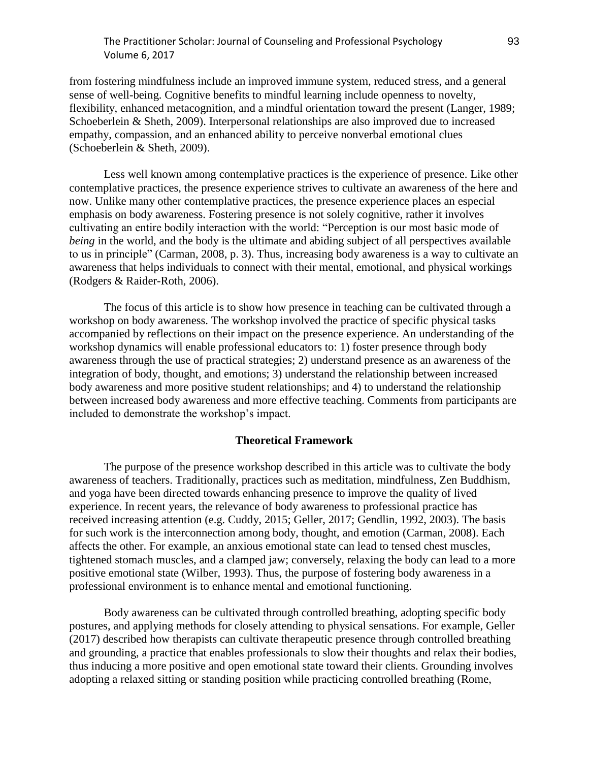# The Practitioner Scholar: Journal of Counseling and Professional Psychology 93 Volume 6, 2017

from fostering mindfulness include an improved immune system, reduced stress, and a general sense of well-being. Cognitive benefits to mindful learning include openness to novelty, flexibility, enhanced metacognition, and a mindful orientation toward the present (Langer, 1989; Schoeberlein & Sheth, 2009). Interpersonal relationships are also improved due to increased empathy, compassion, and an enhanced ability to perceive nonverbal emotional clues (Schoeberlein & Sheth, 2009).

Less well known among contemplative practices is the experience of presence. Like other contemplative practices, the presence experience strives to cultivate an awareness of the here and now. Unlike many other contemplative practices, the presence experience places an especial emphasis on body awareness. Fostering presence is not solely cognitive, rather it involves cultivating an entire bodily interaction with the world: "Perception is our most basic mode of *being* in the world, and the body is the ultimate and abiding subject of all perspectives available to us in principle" (Carman, 2008, p. 3). Thus, increasing body awareness is a way to cultivate an awareness that helps individuals to connect with their mental, emotional, and physical workings (Rodgers & Raider-Roth, 2006).

The focus of this article is to show how presence in teaching can be cultivated through a workshop on body awareness. The workshop involved the practice of specific physical tasks accompanied by reflections on their impact on the presence experience. An understanding of the workshop dynamics will enable professional educators to: 1) foster presence through body awareness through the use of practical strategies; 2) understand presence as an awareness of the integration of body, thought, and emotions; 3) understand the relationship between increased body awareness and more positive student relationships; and 4) to understand the relationship between increased body awareness and more effective teaching. Comments from participants are included to demonstrate the workshop's impact.

# **Theoretical Framework**

The purpose of the presence workshop described in this article was to cultivate the body awareness of teachers. Traditionally, practices such as meditation, mindfulness, Zen Buddhism, and yoga have been directed towards enhancing presence to improve the quality of lived experience. In recent years, the relevance of body awareness to professional practice has received increasing attention (e.g. Cuddy, 2015; Geller, 2017; Gendlin, 1992, 2003). The basis for such work is the interconnection among body, thought, and emotion (Carman, 2008). Each affects the other. For example, an anxious emotional state can lead to tensed chest muscles, tightened stomach muscles, and a clamped jaw; conversely, relaxing the body can lead to a more positive emotional state (Wilber, 1993). Thus, the purpose of fostering body awareness in a professional environment is to enhance mental and emotional functioning.

Body awareness can be cultivated through controlled breathing, adopting specific body postures, and applying methods for closely attending to physical sensations. For example, Geller (2017) described how therapists can cultivate therapeutic presence through controlled breathing and grounding, a practice that enables professionals to slow their thoughts and relax their bodies, thus inducing a more positive and open emotional state toward their clients. Grounding involves adopting a relaxed sitting or standing position while practicing controlled breathing (Rome,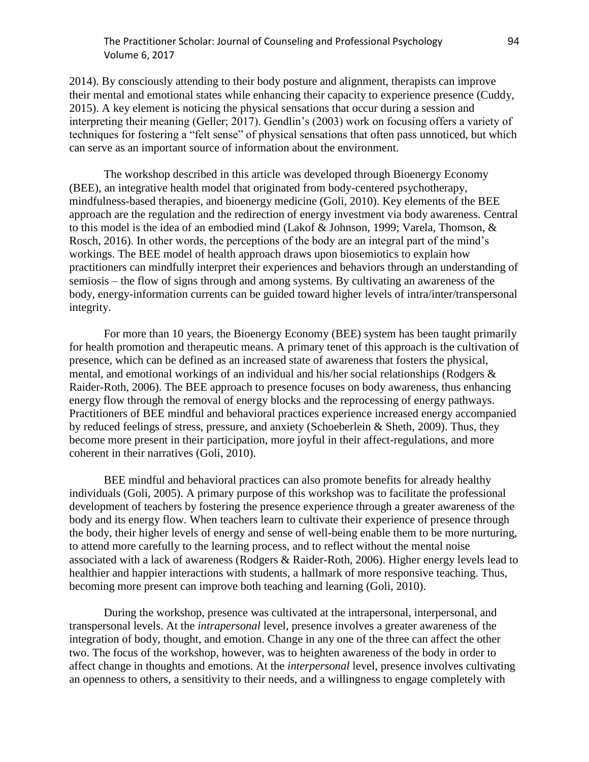# The Practitioner Scholar: Journal of Counseling and Professional Psychology 94 Volume 6, 2017

2014). By consciously attending to their body posture and alignment, therapists can improve their mental and emotional states while enhancing their capacity to experience presence (Cuddy, 2015). A key element is noticing the physical sensations that occur during a session and interpreting their meaning (Geller; 2017). Gendlin's (2003) work on focusing offers a variety of techniques for fostering a "felt sense" of physical sensations that often pass unnoticed, but which can serve as an important source of information about the environment.

The workshop described in this article was developed through Bioenergy Economy (BEE), an integrative health model that originated from body-centered psychotherapy, mindfulness-based therapies, and bioenergy medicine (Goli, 2010). Key elements of the BEE approach are the regulation and the redirection of energy investment via body awareness. Central to this model is the idea of an embodied mind (Lakof & Johnson, 1999; Varela, Thomson, & Rosch, 2016). In other words, the perceptions of the body are an integral part of the mind's workings. The BEE model of health approach draws upon biosemiotics to explain how practitioners can mindfully interpret their experiences and behaviors through an understanding of semiosis – the flow of signs through and among systems. By cultivating an awareness of the body, energy-information currents can be guided toward higher levels of intra/inter/transpersonal integrity.

For more than 10 years, the Bioenergy Economy (BEE) system has been taught primarily for health promotion and therapeutic means. A primary tenet of this approach is the cultivation of presence, which can be defined as an increased state of awareness that fosters the physical, mental, and emotional workings of an individual and his/her social relationships (Rodgers & Raider-Roth, 2006). The BEE approach to presence focuses on body awareness, thus enhancing energy flow through the removal of energy blocks and the reprocessing of energy pathways. Practitioners of BEE mindful and behavioral practices experience increased energy accompanied by reduced feelings of stress, pressure, and anxiety (Schoeberlein & Sheth, 2009). Thus, they become more present in their participation, more joyful in their affect-regulations, and more coherent in their narratives (Goli, 2010).

BEE mindful and behavioral practices can also promote benefits for already healthy individuals (Goli, 2005). A primary purpose of this workshop was to facilitate the professional development of teachers by fostering the presence experience through a greater awareness of the body and its energy flow. When teachers learn to cultivate their experience of presence through the body, their higher levels of energy and sense of well-being enable them to be more nurturing, to attend more carefully to the learning process, and to reflect without the mental noise associated with a lack of awareness (Rodgers & Raider-Roth, 2006). Higher energy levels lead to healthier and happier interactions with students, a hallmark of more responsive teaching. Thus, becoming more present can improve both teaching and learning (Goli, 2010).

During the workshop, presence was cultivated at the intrapersonal, interpersonal, and transpersonal levels. At the *intrapersonal* level, presence involves a greater awareness of the integration of body, thought, and emotion. Change in any one of the three can affect the other two. The focus of the workshop, however, was to heighten awareness of the body in order to affect change in thoughts and emotions. At the *interpersonal* level, presence involves cultivating an openness to others, a sensitivity to their needs, and a willingness to engage completely with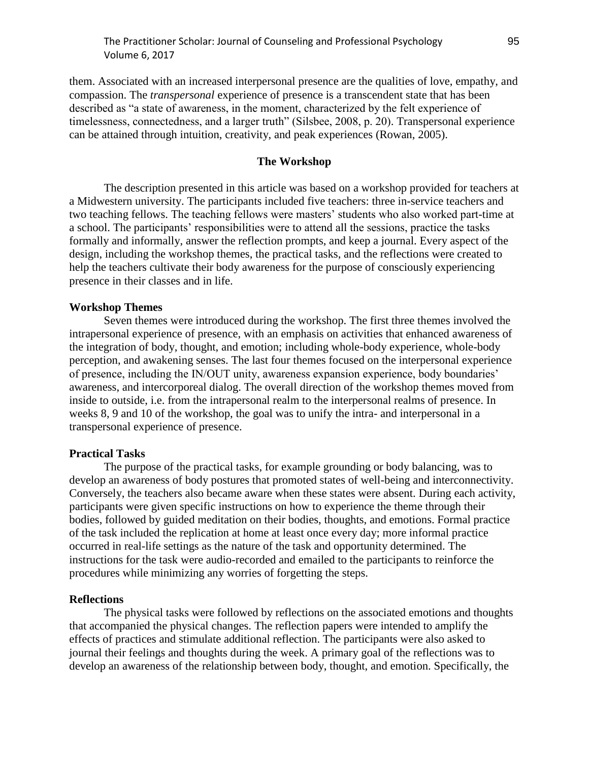them. Associated with an increased interpersonal presence are the qualities of love, empathy, and compassion. The *transpersonal* experience of presence is a transcendent state that has been described as "a state of awareness, in the moment, characterized by the felt experience of timelessness, connectedness, and a larger truth" (Silsbee, 2008, p. 20). Transpersonal experience can be attained through intuition, creativity, and peak experiences (Rowan, 2005).

#### **The Workshop**

The description presented in this article was based on a workshop provided for teachers at a Midwestern university. The participants included five teachers: three in-service teachers and two teaching fellows. The teaching fellows were masters' students who also worked part-time at a school. The participants' responsibilities were to attend all the sessions, practice the tasks formally and informally, answer the reflection prompts, and keep a journal. Every aspect of the design, including the workshop themes, the practical tasks, and the reflections were created to help the teachers cultivate their body awareness for the purpose of consciously experiencing presence in their classes and in life.

# **Workshop Themes**

Seven themes were introduced during the workshop. The first three themes involved the intrapersonal experience of presence, with an emphasis on activities that enhanced awareness of the integration of body, thought, and emotion; including whole-body experience, whole-body perception, and awakening senses. The last four themes focused on the interpersonal experience of presence, including the IN/OUT unity, awareness expansion experience, body boundaries' awareness, and intercorporeal dialog. The overall direction of the workshop themes moved from inside to outside, i.e. from the intrapersonal realm to the interpersonal realms of presence. In weeks 8, 9 and 10 of the workshop, the goal was to unify the intra- and interpersonal in a transpersonal experience of presence.

#### **Practical Tasks**

The purpose of the practical tasks, for example grounding or body balancing, was to develop an awareness of body postures that promoted states of well-being and interconnectivity. Conversely, the teachers also became aware when these states were absent. During each activity, participants were given specific instructions on how to experience the theme through their bodies, followed by guided meditation on their bodies, thoughts, and emotions. Formal practice of the task included the replication at home at least once every day; more informal practice occurred in real-life settings as the nature of the task and opportunity determined. The instructions for the task were audio-recorded and emailed to the participants to reinforce the procedures while minimizing any worries of forgetting the steps.

#### **Reflections**

The physical tasks were followed by reflections on the associated emotions and thoughts that accompanied the physical changes. The reflection papers were intended to amplify the effects of practices and stimulate additional reflection. The participants were also asked to journal their feelings and thoughts during the week. A primary goal of the reflections was to develop an awareness of the relationship between body, thought, and emotion. Specifically, the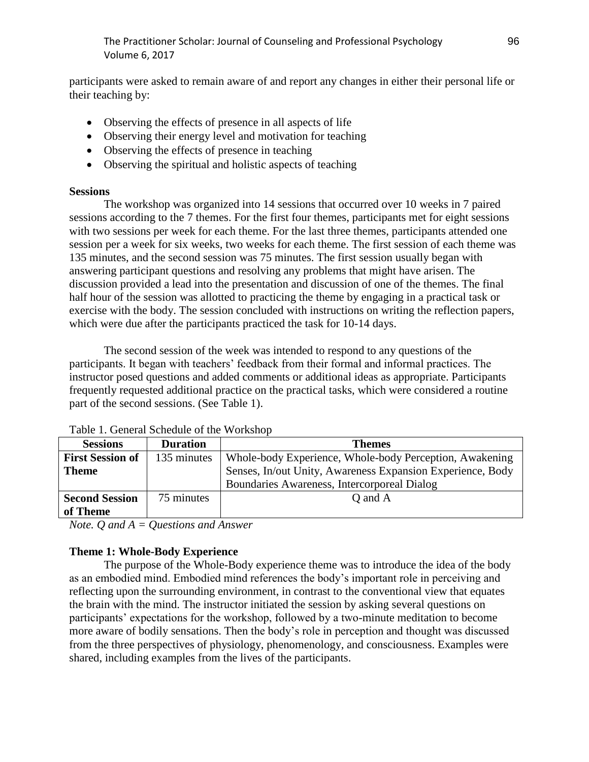The Practitioner Scholar: Journal of Counseling and Professional Psychology 96 Volume 6, 2017

participants were asked to remain aware of and report any changes in either their personal life or their teaching by:

- Observing the effects of presence in all aspects of life
- Observing their energy level and motivation for teaching
- Observing the effects of presence in teaching
- Observing the spiritual and holistic aspects of teaching

## **Sessions**

The workshop was organized into 14 sessions that occurred over 10 weeks in 7 paired sessions according to the 7 themes. For the first four themes, participants met for eight sessions with two sessions per week for each theme. For the last three themes, participants attended one session per a week for six weeks, two weeks for each theme. The first session of each theme was 135 minutes, and the second session was 75 minutes. The first session usually began with answering participant questions and resolving any problems that might have arisen. The discussion provided a lead into the presentation and discussion of one of the themes. The final half hour of the session was allotted to practicing the theme by engaging in a practical task or exercise with the body. The session concluded with instructions on writing the reflection papers, which were due after the participants practiced the task for 10-14 days.

The second session of the week was intended to respond to any questions of the participants. It began with teachers' feedback from their formal and informal practices. The instructor posed questions and added comments or additional ideas as appropriate. Participants frequently requested additional practice on the practical tasks, which were considered a routine part of the second sessions. (See Table 1).

| <b>Sessions</b>         | <b>Duration</b> | <b>Themes</b>                                              |
|-------------------------|-----------------|------------------------------------------------------------|
| <b>First Session of</b> | 135 minutes     | Whole-body Experience, Whole-body Perception, Awakening    |
| <b>Theme</b>            |                 | Senses, In/out Unity, Awareness Expansion Experience, Body |
|                         |                 | Boundaries Awareness, Intercorporeal Dialog                |
| <b>Second Session</b>   | 75 minutes      | Q and A                                                    |
| of Theme                |                 |                                                            |

Table 1. General Schedule of the Workshop

*Note. Q and A = Questions and Answer*

### **Theme 1: Whole-Body Experience**

The purpose of the Whole-Body experience theme was to introduce the idea of the body as an embodied mind. Embodied mind references the body's important role in perceiving and reflecting upon the surrounding environment, in contrast to the conventional view that equates the brain with the mind. The instructor initiated the session by asking several questions on participants' expectations for the workshop, followed by a two-minute meditation to become more aware of bodily sensations. Then the body's role in perception and thought was discussed from the three perspectives of physiology, phenomenology, and consciousness. Examples were shared, including examples from the lives of the participants.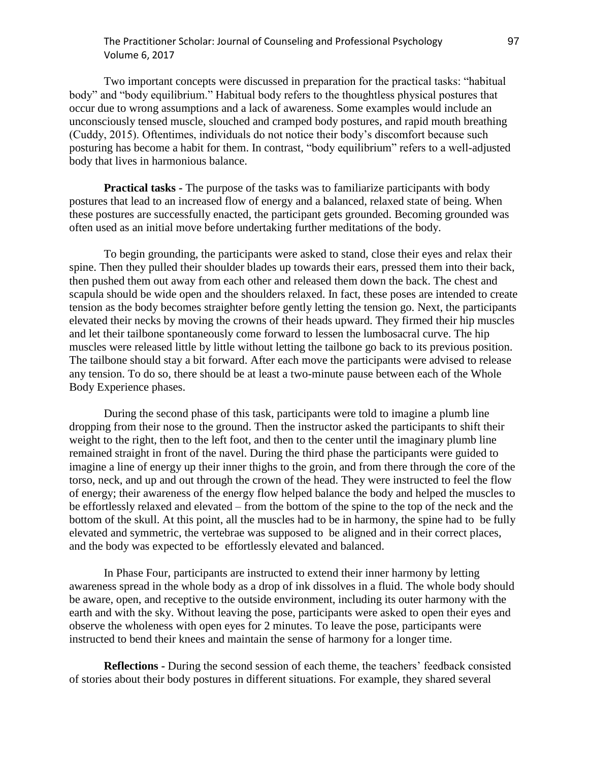# The Practitioner Scholar: Journal of Counseling and Professional Psychology 97 Volume 6, 2017

Two important concepts were discussed in preparation for the practical tasks: "habitual body" and "body equilibrium." Habitual body refers to the thoughtless physical postures that occur due to wrong assumptions and a lack of awareness. Some examples would include an unconsciously tensed muscle, slouched and cramped body postures, and rapid mouth breathing (Cuddy, 2015). Oftentimes, individuals do not notice their body's discomfort because such posturing has become a habit for them. In contrast, "body equilibrium" refers to a well-adjusted body that lives in harmonious balance.

**Practical tasks -** The purpose of the tasks was to familiarize participants with body postures that lead to an increased flow of energy and a balanced, relaxed state of being. When these postures are successfully enacted, the participant gets grounded. Becoming grounded was often used as an initial move before undertaking further meditations of the body.

To begin grounding, the participants were asked to stand, close their eyes and relax their spine. Then they pulled their shoulder blades up towards their ears, pressed them into their back, then pushed them out away from each other and released them down the back. The chest and scapula should be wide open and the shoulders relaxed. In fact, these poses are intended to create tension as the body becomes straighter before gently letting the tension go. Next, the participants elevated their necks by moving the crowns of their heads upward. They firmed their hip muscles and let their tailbone spontaneously come forward to lessen the lumbosacral curve. The hip muscles were released little by little without letting the tailbone go back to its previous position. The tailbone should stay a bit forward. After each move the participants were advised to release any tension. To do so, there should be at least a two-minute pause between each of the Whole Body Experience phases.

During the second phase of this task, participants were told to imagine a plumb line dropping from their nose to the ground. Then the instructor asked the participants to shift their weight to the right, then to the left foot, and then to the center until the imaginary plumb line remained straight in front of the navel. During the third phase the participants were guided to imagine a line of energy up their inner thighs to the groin, and from there through the core of the torso, neck, and up and out through the crown of the head. They were instructed to feel the flow of energy; their awareness of the energy flow helped balance the body and helped the muscles to be effortlessly relaxed and elevated – from the bottom of the spine to the top of the neck and the bottom of the skull. At this point, all the muscles had to be in harmony, the spine had to be fully elevated and symmetric, the vertebrae was supposed to be aligned and in their correct places, and the body was expected to be effortlessly elevated and balanced.

In Phase Four, participants are instructed to extend their inner harmony by letting awareness spread in the whole body as a drop of ink dissolves in a fluid. The whole body should be aware, open, and receptive to the outside environment, including its outer harmony with the earth and with the sky. Without leaving the pose, participants were asked to open their eyes and observe the wholeness with open eyes for 2 minutes. To leave the pose, participants were instructed to bend their knees and maintain the sense of harmony for a longer time.

**Reflections -** During the second session of each theme, the teachers' feedback consisted of stories about their body postures in different situations. For example, they shared several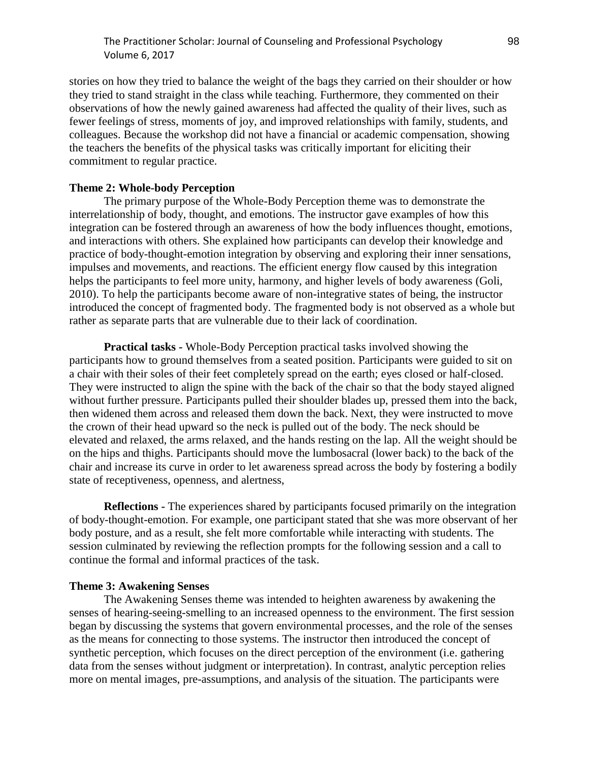stories on how they tried to balance the weight of the bags they carried on their shoulder or how they tried to stand straight in the class while teaching. Furthermore, they commented on their observations of how the newly gained awareness had affected the quality of their lives, such as fewer feelings of stress, moments of joy, and improved relationships with family, students, and colleagues. Because the workshop did not have a financial or academic compensation, showing the teachers the benefits of the physical tasks was critically important for eliciting their commitment to regular practice.

### **Theme 2: Whole-body Perception**

The primary purpose of the Whole-Body Perception theme was to demonstrate the interrelationship of body, thought, and emotions. The instructor gave examples of how this integration can be fostered through an awareness of how the body influences thought, emotions, and interactions with others. She explained how participants can develop their knowledge and practice of body-thought-emotion integration by observing and exploring their inner sensations, impulses and movements, and reactions. The efficient energy flow caused by this integration helps the participants to feel more unity, harmony, and higher levels of body awareness (Goli, 2010). To help the participants become aware of non-integrative states of being, the instructor introduced the concept of fragmented body. The fragmented body is not observed as a whole but rather as separate parts that are vulnerable due to their lack of coordination.

**Practical tasks -** Whole-Body Perception practical tasks involved showing the participants how to ground themselves from a seated position. Participants were guided to sit on a chair with their soles of their feet completely spread on the earth; eyes closed or half-closed. They were instructed to align the spine with the back of the chair so that the body stayed aligned without further pressure. Participants pulled their shoulder blades up, pressed them into the back, then widened them across and released them down the back. Next, they were instructed to move the crown of their head upward so the neck is pulled out of the body. The neck should be elevated and relaxed, the arms relaxed, and the hands resting on the lap. All the weight should be on the hips and thighs. Participants should move the lumbosacral (lower back) to the back of the chair and increase its curve in order to let awareness spread across the body by fostering a bodily state of receptiveness, openness, and alertness,

**Reflections -** The experiences shared by participants focused primarily on the integration of body-thought-emotion. For example, one participant stated that she was more observant of her body posture, and as a result, she felt more comfortable while interacting with students. The session culminated by reviewing the reflection prompts for the following session and a call to continue the formal and informal practices of the task.

#### **Theme 3: Awakening Senses**

The Awakening Senses theme was intended to heighten awareness by awakening the senses of hearing-seeing-smelling to an increased openness to the environment. The first session began by discussing the systems that govern environmental processes, and the role of the senses as the means for connecting to those systems. The instructor then introduced the concept of synthetic perception, which focuses on the direct perception of the environment (i.e. gathering data from the senses without judgment or interpretation). In contrast, analytic perception relies more on mental images, pre-assumptions, and analysis of the situation. The participants were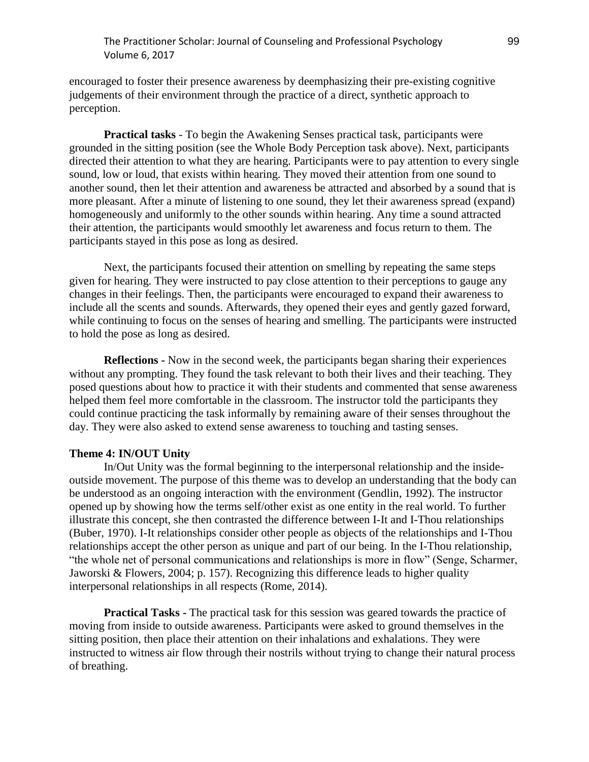# The Practitioner Scholar: Journal of Counseling and Professional Psychology 99 Volume 6, 2017

encouraged to foster their presence awareness by deemphasizing their pre-existing cognitive judgements of their environment through the practice of a direct, synthetic approach to perception.

**Practical tasks** - To begin the Awakening Senses practical task, participants were grounded in the sitting position (see the Whole Body Perception task above). Next, participants directed their attention to what they are hearing. Participants were to pay attention to every single sound, low or loud, that exists within hearing. They moved their attention from one sound to another sound, then let their attention and awareness be attracted and absorbed by a sound that is more pleasant. After a minute of listening to one sound, they let their awareness spread (expand) homogeneously and uniformly to the other sounds within hearing. Any time a sound attracted their attention, the participants would smoothly let awareness and focus return to them. The participants stayed in this pose as long as desired.

Next, the participants focused their attention on smelling by repeating the same steps given for hearing. They were instructed to pay close attention to their perceptions to gauge any changes in their feelings. Then, the participants were encouraged to expand their awareness to include all the scents and sounds. Afterwards, they opened their eyes and gently gazed forward, while continuing to focus on the senses of hearing and smelling. The participants were instructed to hold the pose as long as desired.

**Reflections -** Now in the second week, the participants began sharing their experiences without any prompting. They found the task relevant to both their lives and their teaching. They posed questions about how to practice it with their students and commented that sense awareness helped them feel more comfortable in the classroom. The instructor told the participants they could continue practicing the task informally by remaining aware of their senses throughout the day. They were also asked to extend sense awareness to touching and tasting senses.

#### **Theme 4: IN/OUT Unity**

In/Out Unity was the formal beginning to the interpersonal relationship and the insideoutside movement. The purpose of this theme was to develop an understanding that the body can be understood as an ongoing interaction with the environment (Gendlin, 1992). The instructor opened up by showing how the terms self/other exist as one entity in the real world. To further illustrate this concept, she then contrasted the difference between I-It and I-Thou relationships (Buber, 1970). I-It relationships consider other people as objects of the relationships and I-Thou relationships accept the other person as unique and part of our being. In the I-Thou relationship, "the whole net of personal communications and relationships is more in flow" (Senge, Scharmer, Jaworski & Flowers, 2004; p. 157). Recognizing this difference leads to higher quality interpersonal relationships in all respects (Rome, 2014).

**Practical Tasks -** The practical task for this session was geared towards the practice of moving from inside to outside awareness. Participants were asked to ground themselves in the sitting position, then place their attention on their inhalations and exhalations. They were instructed to witness air flow through their nostrils without trying to change their natural process of breathing.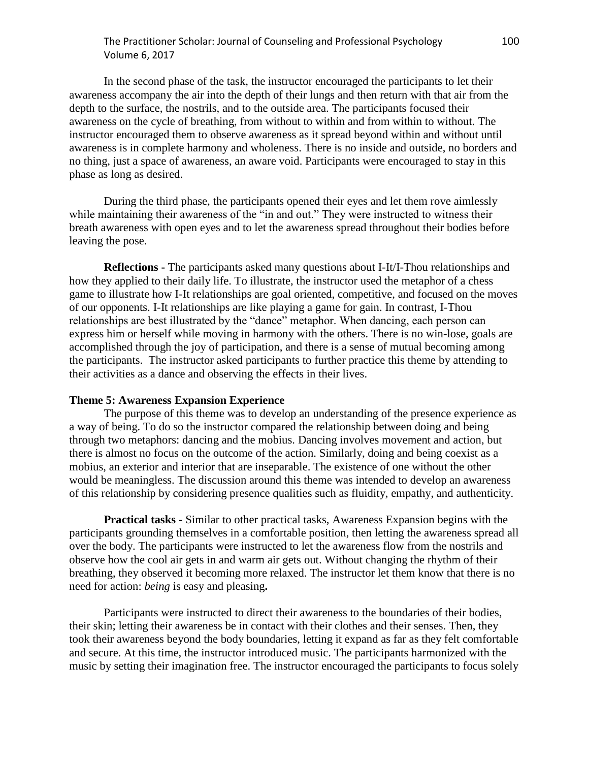# The Practitioner Scholar: Journal of Counseling and Professional Psychology 100 Volume 6, 2017

In the second phase of the task, the instructor encouraged the participants to let their awareness accompany the air into the depth of their lungs and then return with that air from the depth to the surface, the nostrils, and to the outside area. The participants focused their awareness on the cycle of breathing, from without to within and from within to without. The instructor encouraged them to observe awareness as it spread beyond within and without until awareness is in complete harmony and wholeness. There is no inside and outside, no borders and no thing, just a space of awareness, an aware void. Participants were encouraged to stay in this phase as long as desired.

During the third phase, the participants opened their eyes and let them rove aimlessly while maintaining their awareness of the "in and out." They were instructed to witness their breath awareness with open eyes and to let the awareness spread throughout their bodies before leaving the pose.

**Reflections -** The participants asked many questions about I-It/I-Thou relationships and how they applied to their daily life. To illustrate, the instructor used the metaphor of a chess game to illustrate how I-It relationships are goal oriented, competitive, and focused on the moves of our opponents. I-It relationships are like playing a game for gain. In contrast, I-Thou relationships are best illustrated by the "dance" metaphor. When dancing, each person can express him or herself while moving in harmony with the others. There is no win-lose, goals are accomplished through the joy of participation, and there is a sense of mutual becoming among the participants. The instructor asked participants to further practice this theme by attending to their activities as a dance and observing the effects in their lives.

#### **Theme 5: Awareness Expansion Experience**

The purpose of this theme was to develop an understanding of the presence experience as a way of being. To do so the instructor compared the relationship between doing and being through two metaphors: dancing and the mobius. Dancing involves movement and action, but there is almost no focus on the outcome of the action. Similarly, doing and being coexist as a mobius, an exterior and interior that are inseparable. The existence of one without the other would be meaningless. The discussion around this theme was intended to develop an awareness of this relationship by considering presence qualities such as fluidity, empathy, and authenticity.

**Practical tasks -** Similar to other practical tasks, Awareness Expansion begins with the participants grounding themselves in a comfortable position, then letting the awareness spread all over the body. The participants were instructed to let the awareness flow from the nostrils and observe how the cool air gets in and warm air gets out. Without changing the rhythm of their breathing, they observed it becoming more relaxed. The instructor let them know that there is no need for action: *being* is easy and pleasing**.**

Participants were instructed to direct their awareness to the boundaries of their bodies, their skin; letting their awareness be in contact with their clothes and their senses. Then, they took their awareness beyond the body boundaries, letting it expand as far as they felt comfortable and secure. At this time, the instructor introduced music. The participants harmonized with the music by setting their imagination free. The instructor encouraged the participants to focus solely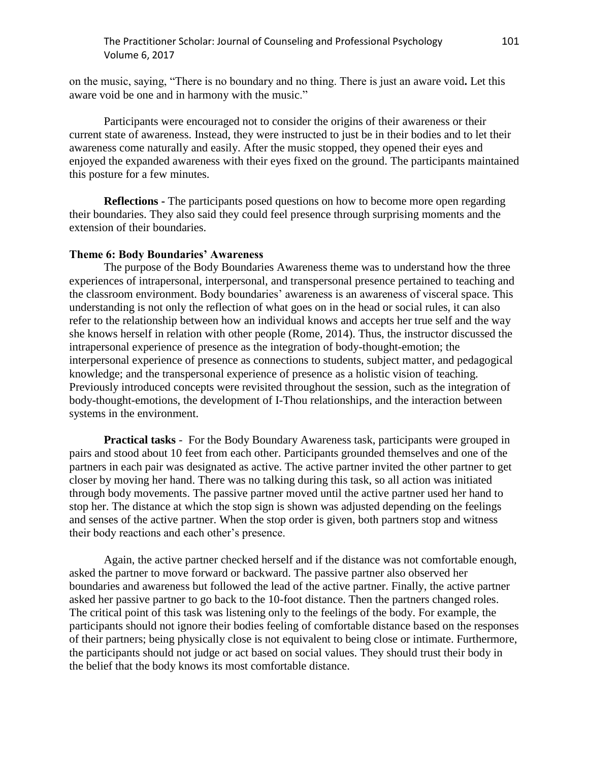on the music, saying, "There is no boundary and no thing. There is just an aware void**.** Let this aware void be one and in harmony with the music."

Participants were encouraged not to consider the origins of their awareness or their current state of awareness. Instead, they were instructed to just be in their bodies and to let their awareness come naturally and easily. After the music stopped, they opened their eyes and enjoyed the expanded awareness with their eyes fixed on the ground. The participants maintained this posture for a few minutes.

**Reflections -** The participants posed questions on how to become more open regarding their boundaries. They also said they could feel presence through surprising moments and the extension of their boundaries.

## **Theme 6: Body Boundaries' Awareness**

The purpose of the Body Boundaries Awareness theme was to understand how the three experiences of intrapersonal, interpersonal, and transpersonal presence pertained to teaching and the classroom environment. Body boundaries' awareness is an awareness of visceral space. This understanding is not only the reflection of what goes on in the head or social rules, it can also refer to the relationship between how an individual knows and accepts her true self and the way she knows herself in relation with other people (Rome, 2014). Thus, the instructor discussed the intrapersonal experience of presence as the integration of body-thought-emotion; the interpersonal experience of presence as connections to students, subject matter, and pedagogical knowledge; and the transpersonal experience of presence as a holistic vision of teaching. Previously introduced concepts were revisited throughout the session, such as the integration of body-thought-emotions, the development of I-Thou relationships, and the interaction between systems in the environment.

**Practical tasks** - For the Body Boundary Awareness task, participants were grouped in pairs and stood about 10 feet from each other. Participants grounded themselves and one of the partners in each pair was designated as active. The active partner invited the other partner to get closer by moving her hand. There was no talking during this task, so all action was initiated through body movements. The passive partner moved until the active partner used her hand to stop her. The distance at which the stop sign is shown was adjusted depending on the feelings and senses of the active partner. When the stop order is given, both partners stop and witness their body reactions and each other's presence.

Again, the active partner checked herself and if the distance was not comfortable enough, asked the partner to move forward or backward. The passive partner also observed her boundaries and awareness but followed the lead of the active partner. Finally, the active partner asked her passive partner to go back to the 10-foot distance. Then the partners changed roles. The critical point of this task was listening only to the feelings of the body. For example, the participants should not ignore their bodies feeling of comfortable distance based on the responses of their partners; being physically close is not equivalent to being close or intimate. Furthermore, the participants should not judge or act based on social values. They should trust their body in the belief that the body knows its most comfortable distance.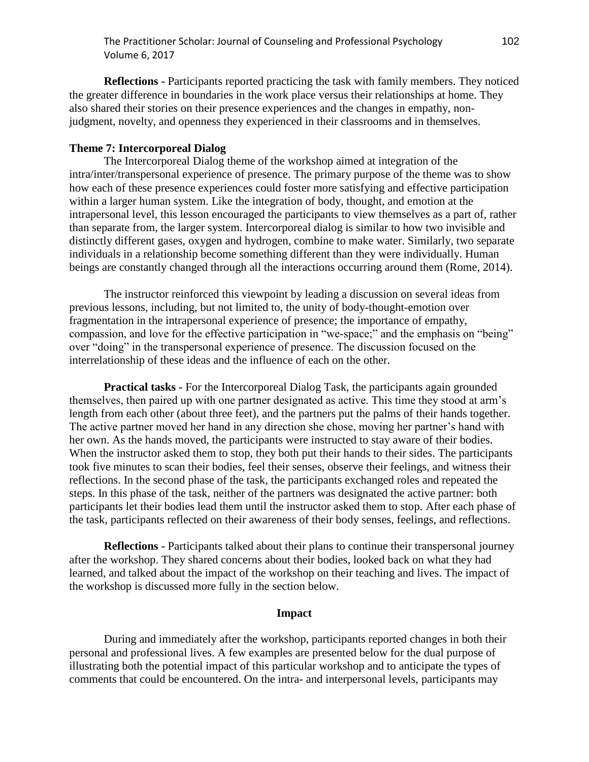**Reflections -** Participants reported practicing the task with family members. They noticed the greater difference in boundaries in the work place versus their relationships at home. They also shared their stories on their presence experiences and the changes in empathy, nonjudgment, novelty, and openness they experienced in their classrooms and in themselves.

# **Theme 7: Intercorporeal Dialog**

The Intercorporeal Dialog theme of the workshop aimed at integration of the intra/inter/transpersonal experience of presence. The primary purpose of the theme was to show how each of these presence experiences could foster more satisfying and effective participation within a larger human system. Like the integration of body, thought, and emotion at the intrapersonal level, this lesson encouraged the participants to view themselves as a part of, rather than separate from, the larger system. Intercorporeal dialog is similar to how two invisible and distinctly different gases, oxygen and hydrogen, combine to make water. Similarly, two separate individuals in a relationship become something different than they were individually. Human beings are constantly changed through all the interactions occurring around them (Rome, 2014).

The instructor reinforced this viewpoint by leading a discussion on several ideas from previous lessons, including, but not limited to, the unity of body-thought-emotion over fragmentation in the intrapersonal experience of presence; the importance of empathy, compassion, and love for the effective participation in "we-space;" and the emphasis on "being" over "doing" in the transpersonal experience of presence. The discussion focused on the interrelationship of these ideas and the influence of each on the other.

**Practical tasks -** For the Intercorporeal Dialog Task, the participants again grounded themselves, then paired up with one partner designated as active. This time they stood at arm's length from each other (about three feet), and the partners put the palms of their hands together. The active partner moved her hand in any direction she chose, moving her partner's hand with her own. As the hands moved, the participants were instructed to stay aware of their bodies. When the instructor asked them to stop, they both put their hands to their sides. The participants took five minutes to scan their bodies, feel their senses, observe their feelings, and witness their reflections. In the second phase of the task, the participants exchanged roles and repeated the steps. In this phase of the task, neither of the partners was designated the active partner: both participants let their bodies lead them until the instructor asked them to stop. After each phase of the task, participants reflected on their awareness of their body senses, feelings, and reflections.

**Reflections -** Participants talked about their plans to continue their transpersonal journey after the workshop. They shared concerns about their bodies, looked back on what they had learned, and talked about the impact of the workshop on their teaching and lives. The impact of the workshop is discussed more fully in the section below.

### **Impact**

During and immediately after the workshop, participants reported changes in both their personal and professional lives. A few examples are presented below for the dual purpose of illustrating both the potential impact of this particular workshop and to anticipate the types of comments that could be encountered. On the intra- and interpersonal levels, participants may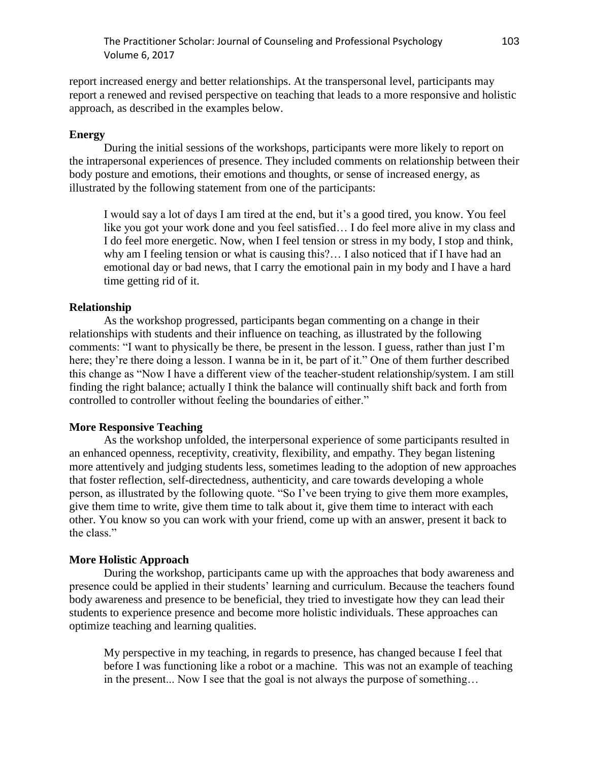report increased energy and better relationships. At the transpersonal level, participants may report a renewed and revised perspective on teaching that leads to a more responsive and holistic approach, as described in the examples below.

# **Energy**

During the initial sessions of the workshops, participants were more likely to report on the intrapersonal experiences of presence. They included comments on relationship between their body posture and emotions, their emotions and thoughts, or sense of increased energy, as illustrated by the following statement from one of the participants:

I would say a lot of days I am tired at the end, but it's a good tired, you know. You feel like you got your work done and you feel satisfied… I do feel more alive in my class and I do feel more energetic. Now, when I feel tension or stress in my body, I stop and think, why am I feeling tension or what is causing this?… I also noticed that if I have had an emotional day or bad news, that I carry the emotional pain in my body and I have a hard time getting rid of it.

### **Relationship**

As the workshop progressed, participants began commenting on a change in their relationships with students and their influence on teaching, as illustrated by the following comments: "I want to physically be there, be present in the lesson. I guess, rather than just I'm here; they're there doing a lesson. I wanna be in it, be part of it." One of them further described this change as "Now I have a different view of the teacher-student relationship/system. I am still finding the right balance; actually I think the balance will continually shift back and forth from controlled to controller without feeling the boundaries of either."

### **More Responsive Teaching**

As the workshop unfolded, the interpersonal experience of some participants resulted in an enhanced openness, receptivity, creativity, flexibility, and empathy. They began listening more attentively and judging students less, sometimes leading to the adoption of new approaches that foster reflection, self-directedness, authenticity, and care towards developing a whole person, as illustrated by the following quote. "So I've been trying to give them more examples, give them time to write, give them time to talk about it, give them time to interact with each other. You know so you can work with your friend, come up with an answer, present it back to the class."

## **More Holistic Approach**

During the workshop, participants came up with the approaches that body awareness and presence could be applied in their students' learning and curriculum. Because the teachers found body awareness and presence to be beneficial, they tried to investigate how they can lead their students to experience presence and become more holistic individuals. These approaches can optimize teaching and learning qualities.

My perspective in my teaching, in regards to presence, has changed because I feel that before I was functioning like a robot or a machine. This was not an example of teaching in the present... Now I see that the goal is not always the purpose of something…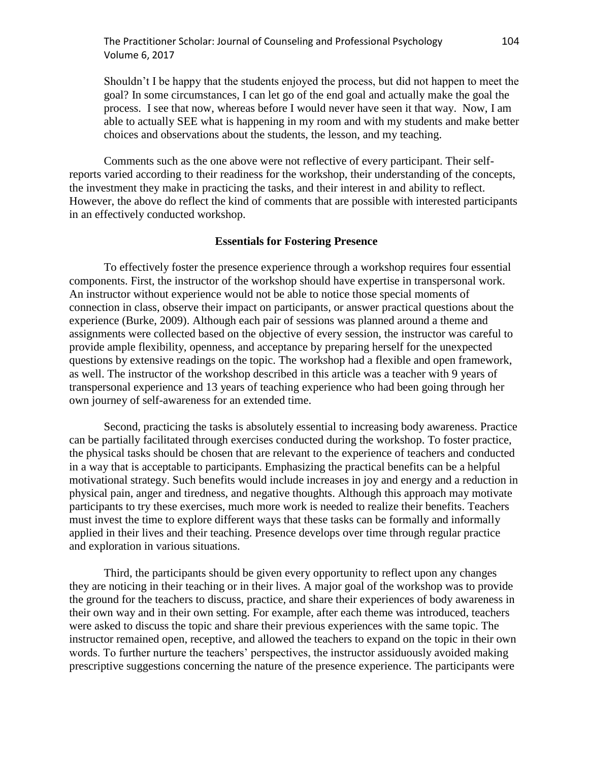The Practitioner Scholar: Journal of Counseling and Professional Psychology 104 Volume 6, 2017

Shouldn't I be happy that the students enjoyed the process, but did not happen to meet the goal? In some circumstances, I can let go of the end goal and actually make the goal the process. I see that now, whereas before I would never have seen it that way. Now, I am able to actually SEE what is happening in my room and with my students and make better choices and observations about the students, the lesson, and my teaching.

Comments such as the one above were not reflective of every participant. Their selfreports varied according to their readiness for the workshop, their understanding of the concepts, the investment they make in practicing the tasks, and their interest in and ability to reflect. However, the above do reflect the kind of comments that are possible with interested participants in an effectively conducted workshop.

### **Essentials for Fostering Presence**

To effectively foster the presence experience through a workshop requires four essential components. First, the instructor of the workshop should have expertise in transpersonal work. An instructor without experience would not be able to notice those special moments of connection in class, observe their impact on participants, or answer practical questions about the experience (Burke, 2009). Although each pair of sessions was planned around a theme and assignments were collected based on the objective of every session, the instructor was careful to provide ample flexibility, openness, and acceptance by preparing herself for the unexpected questions by extensive readings on the topic. The workshop had a flexible and open framework, as well. The instructor of the workshop described in this article was a teacher with 9 years of transpersonal experience and 13 years of teaching experience who had been going through her own journey of self-awareness for an extended time.

Second, practicing the tasks is absolutely essential to increasing body awareness. Practice can be partially facilitated through exercises conducted during the workshop. To foster practice, the physical tasks should be chosen that are relevant to the experience of teachers and conducted in a way that is acceptable to participants. Emphasizing the practical benefits can be a helpful motivational strategy. Such benefits would include increases in joy and energy and a reduction in physical pain, anger and tiredness, and negative thoughts. Although this approach may motivate participants to try these exercises, much more work is needed to realize their benefits. Teachers must invest the time to explore different ways that these tasks can be formally and informally applied in their lives and their teaching. Presence develops over time through regular practice and exploration in various situations.

Third, the participants should be given every opportunity to reflect upon any changes they are noticing in their teaching or in their lives. A major goal of the workshop was to provide the ground for the teachers to discuss, practice, and share their experiences of body awareness in their own way and in their own setting. For example, after each theme was introduced, teachers were asked to discuss the topic and share their previous experiences with the same topic. The instructor remained open, receptive, and allowed the teachers to expand on the topic in their own words. To further nurture the teachers' perspectives, the instructor assiduously avoided making prescriptive suggestions concerning the nature of the presence experience. The participants were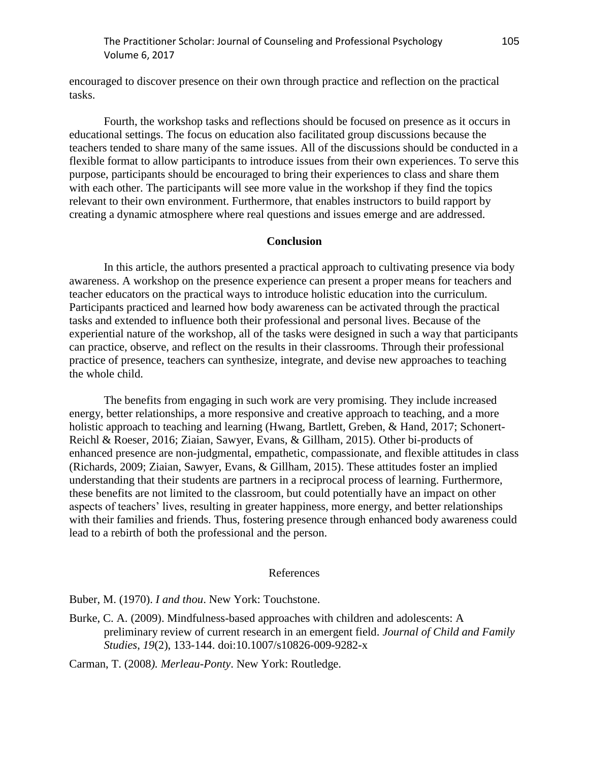encouraged to discover presence on their own through practice and reflection on the practical tasks.

Fourth, the workshop tasks and reflections should be focused on presence as it occurs in educational settings. The focus on education also facilitated group discussions because the teachers tended to share many of the same issues. All of the discussions should be conducted in a flexible format to allow participants to introduce issues from their own experiences. To serve this purpose, participants should be encouraged to bring their experiences to class and share them with each other. The participants will see more value in the workshop if they find the topics relevant to their own environment. Furthermore, that enables instructors to build rapport by creating a dynamic atmosphere where real questions and issues emerge and are addressed.

### **Conclusion**

In this article, the authors presented a practical approach to cultivating presence via body awareness. A workshop on the presence experience can present a proper means for teachers and teacher educators on the practical ways to introduce holistic education into the curriculum. Participants practiced and learned how body awareness can be activated through the practical tasks and extended to influence both their professional and personal lives. Because of the experiential nature of the workshop, all of the tasks were designed in such a way that participants can practice, observe, and reflect on the results in their classrooms. Through their professional practice of presence, teachers can synthesize, integrate, and devise new approaches to teaching the whole child.

The benefits from engaging in such work are very promising. They include increased energy, better relationships, a more responsive and creative approach to teaching, and a more holistic approach to teaching and learning (Hwang, Bartlett, Greben, & Hand, 2017; Schonert-Reichl & Roeser, 2016; Ziaian, Sawyer, Evans, & Gillham, 2015). Other bi-products of enhanced presence are non-judgmental, empathetic, compassionate, and flexible attitudes in class (Richards, 2009; Ziaian, Sawyer, Evans, & Gillham, 2015). These attitudes foster an implied understanding that their students are partners in a reciprocal process of learning. Furthermore, these benefits are not limited to the classroom, but could potentially have an impact on other aspects of teachers' lives, resulting in greater happiness, more energy, and better relationships with their families and friends. Thus, fostering presence through enhanced body awareness could lead to a rebirth of both the professional and the person.

#### References

Buber, M. (1970). *I and thou*. New York: Touchstone.

Burke, C. A. (2009). Mindfulness-based approaches with children and adolescents: A preliminary review of current research in an emergent field. *Journal of Child and Family Studies*, *19*(2), 133-144. doi:10.1007/s10826-009-9282-x

Carman, T. (2008*). Merleau-Ponty*. New York: Routledge.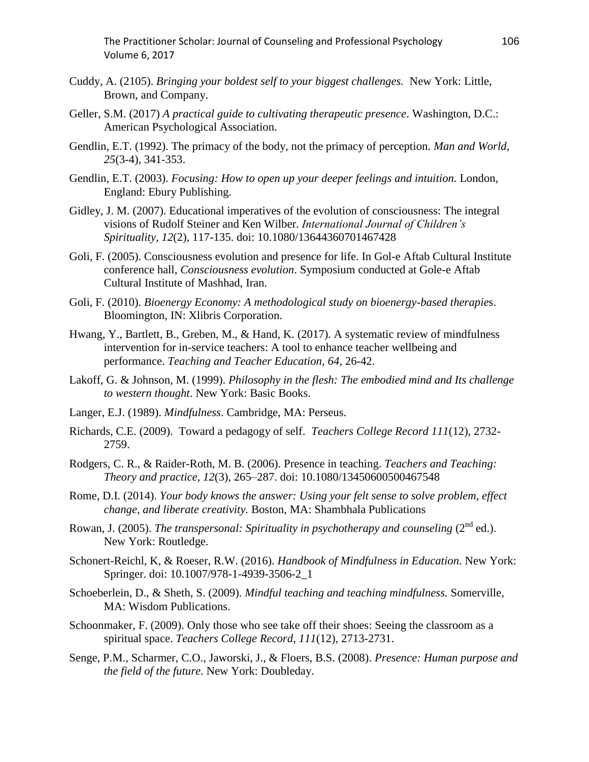The Practitioner Scholar: Journal of Counseling and Professional Psychology 106 Volume 6, 2017

- Cuddy, A. (2105). *Bringing your boldest self to your biggest challenges.* New York: Little, Brown, and Company.
- Geller, S.M. (2017) *A practical guide to cultivating therapeutic presence*. Washington, D.C.: American Psychological Association.
- Gendlin, E.T. (1992). The primacy of the body, not the primacy of perception. *Man and World*, *25*(3-4), 341-353.
- Gendlin, E.T. (2003). *Focusing: How to open up your deeper feelings and intuition.* London, England: Ebury Publishing.
- Gidley, J. M. (2007). Educational imperatives of the evolution of consciousness: The integral visions of Rudolf Steiner and Ken Wilber. *International Journal of Children's Spirituality, 12*(2), 117-135. doi: 10.1080/13644360701467428
- Goli, F. (2005). Consciousness evolution and presence for life. In Gol-e Aftab Cultural Institute conference hall, *Consciousness evolution*. Symposium conducted at Gole-e Aftab Cultural Institute of Mashhad, Iran.
- Goli, F. (2010). *Bioenergy Economy: A methodological study on bioenergy-based therapie*s. Bloomington, IN: Xlibris Corporation.
- Hwang, Y., Bartlett, B., Greben, M., & Hand, K. (2017). A systematic review of mindfulness intervention for in-service teachers: A tool to enhance teacher wellbeing and performance. *Teaching and Teacher Education*, *64*, 26-42.
- Lakoff, G. & Johnson, M. (1999). *Philosophy in the flesh: The embodied mind and Its challenge to western thought*. New York: Basic Books.
- Langer, E.J. (1989). *Mindfulness*. Cambridge, MA: Perseus.
- Richards, C.E. (2009). Toward a pedagogy of self. *Teachers College Record 111*(12), 2732- 2759.
- Rodgers, C. R., & Raider-Roth, M. B. (2006). Presence in teaching. *Teachers and Teaching: Theory and practice, 12*(3), 265–287. doi: 10.1080/13450600500467548
- Rome, D.I. (2014). *Your body knows the answer: Using your felt sense to solve problem, effect change, and liberate creativity.* Boston, MA: Shambhala Publications
- Rowan, J. (2005). *The transpersonal: Spirituality in psychotherapy and counseling* (2<sup>nd</sup> ed.). New York: Routledge.
- Schonert-Reichl, K, & Roeser, R.W. (2016). *Handbook of Mindfulness in Education*. New York: Springer. doi: 10.1007/978-1-4939-3506-2\_1
- Schoeberlein, D., & Sheth, S. (2009). *Mindful teaching and teaching mindfulness.* Somerville, MA: Wisdom Publications.
- Schoonmaker, F. (2009). Only those who see take off their shoes: Seeing the classroom as a spiritual space. *Teachers College Record*, *111*(12)*,* 2713-2731.
- Senge, P.M., Scharmer, C.O., Jaworski, J., & Floers, B.S. (2008). *Presence: Human purpose and the field of the future.* New York: Doubleday.